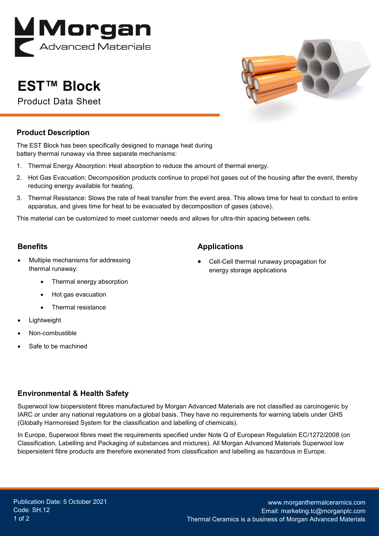

# **EST™ Block**

Product Data Sheet



#### **Product Description**

The EST Block has been specifically designed to manage heat during battery thermal runaway via three separate mechanisms:

- 1. Thermal Energy Absorption: Heat absorption to reduce the amount of thermal energy.
- 2. Hot Gas Evacuation: Decomposition products continue to propel hot gases out of the housing after the event, thereby reducing energy available for heating.
- 3. Thermal Resistance: Slows the rate of heat transfer from the event area. This allows time for heat to conduct to entire apparatus, and gives time for heat to be evacuated by decomposition of gases (above).

This material can be customized to meet customer needs and allows for ultra-thin spacing between cells.

#### **Benefits**

- Multiple mechanisms for addressing thermal runaway:
	- Thermal energy absorption
	- Hot gas evacuation
	- Thermal resistance
- **Lightweight**
- Non-combustible
- Safe to be machined

## **Applications**

• Cell-Cell thermal runaway propagation for energy storage applications

## **Environmental & Health Safety**

Superwool low biopersistent fibres manufactured by Morgan Advanced Materials are not classified as carcinogenic by IARC or under any national regulations on a global basis. They have no requirements for warning labels under GHS (Globally Harmonised System for the classification and labelling of chemicals).

In Europe, Superwool fibres meet the requirements specified under Note Q of European Regulation EC/1272/2008 (on Classification, Labelling and Packaging of substances and mixtures). All Morgan Advanced Materials Superwool low biopersistent fibre products are therefore exonerated from classification and labelling as hazardous in Europe.